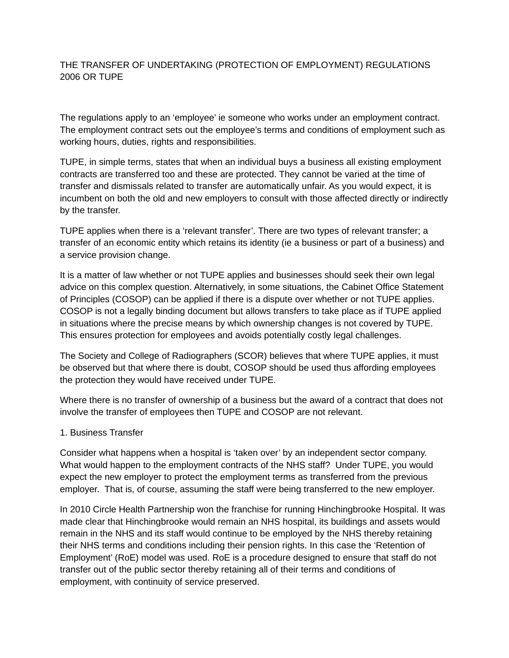## THE TRANSFER OF UNDERTAKING (PROTECTION OF EMPLOYMENT) REGULATIONS 2006 OR TUPE

The regulations apply to an 'employee' ie someone who works under an employment contract. The employment contract sets out the employee's terms and conditions of employment such as working hours, duties, rights and responsibilities.

TUPE, in simple terms, states that when an individual buys a business all existing employment contracts are transferred too and these are protected. They cannot be varied at the time of transfer and dismissals related to transfer are automatically unfair. As you would expect, it is incumbent on both the old and new employers to consult with those affected directly or indirectly by the transfer.

TUPE applies when there is a 'relevant transfer'. There are two types of relevant transfer; a transfer of an economic entity which retains its identity (ie a business or part of a business) and a service provision change.

It is a matter of law whether or not TUPE applies and businesses should seek their own legal advice on this complex question. Alternatively, in some situations, the Cabinet Office Statement of Principles (COSOP) can be applied if there is a dispute over whether or not TUPE applies. COSOP is not a legally binding document but allows transfers to take place as if TUPE applied in situations where the precise means by which ownership changes is not covered by TUPE. This ensures protection for employees and avoids potentially costly legal challenges.

The Society and College of Radiographers (SCOR) believes that where TUPE applies, it must be observed but that where there is doubt, COSOP should be used thus affording employees the protection they would have received under TUPE.

Where there is no transfer of ownership of a business but the award of a contract that does not involve the transfer of employees then TUPE and COSOP are not relevant.

## 1. Business Transfer

Consider what happens when a hospital is 'taken over' by an independent sector company. What would happen to the employment contracts of the NHS staff? Under TUPE, you would expect the new employer to protect the employment terms as transferred from the previous employer. That is, of course, assuming the staff were being transferred to the new employer.

In 2010 Circle Health Partnership won the franchise for running Hinchingbrooke Hospital. It was made clear that Hinchingbrooke would remain an NHS hospital, its buildings and assets would remain in the NHS and its staff would continue to be employed by the NHS thereby retaining their NHS terms and conditions including their pension rights. In this case the 'Retention of Employment' (RoE) model was used. RoE is a procedure designed to ensure that staff do not transfer out of the public sector thereby retaining all of their terms and conditions of employment, with continuity of service preserved.